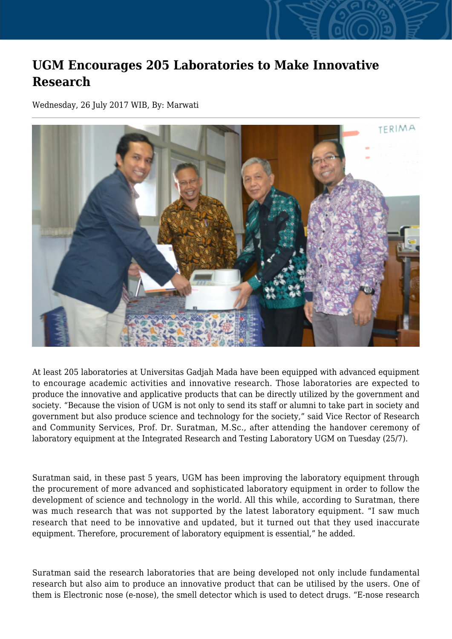## **UGM Encourages 205 Laboratories to Make Innovative Research**

Wednesday, 26 July 2017 WIB, By: Marwati



At least 205 laboratories at Universitas Gadjah Mada have been equipped with advanced equipment to encourage academic activities and innovative research. Those laboratories are expected to produce the innovative and applicative products that can be directly utilized by the government and society. "Because the vision of UGM is not only to send its staff or alumni to take part in society and government but also produce science and technology for the society," said Vice Rector of Research and Community Services, Prof. Dr. Suratman, M.Sc., after attending the handover ceremony of laboratory equipment at the Integrated Research and Testing Laboratory UGM on Tuesday (25/7).

Suratman said, in these past 5 years, UGM has been improving the laboratory equipment through the procurement of more advanced and sophisticated laboratory equipment in order to follow the development of science and technology in the world. All this while, according to Suratman, there was much research that was not supported by the latest laboratory equipment. "I saw much research that need to be innovative and updated, but it turned out that they used inaccurate equipment. Therefore, procurement of laboratory equipment is essential," he added.

Suratman said the research laboratories that are being developed not only include fundamental research but also aim to produce an innovative product that can be utilised by the users. One of them is Electronic nose (e-nose), the smell detector which is used to detect drugs. "E-nose research